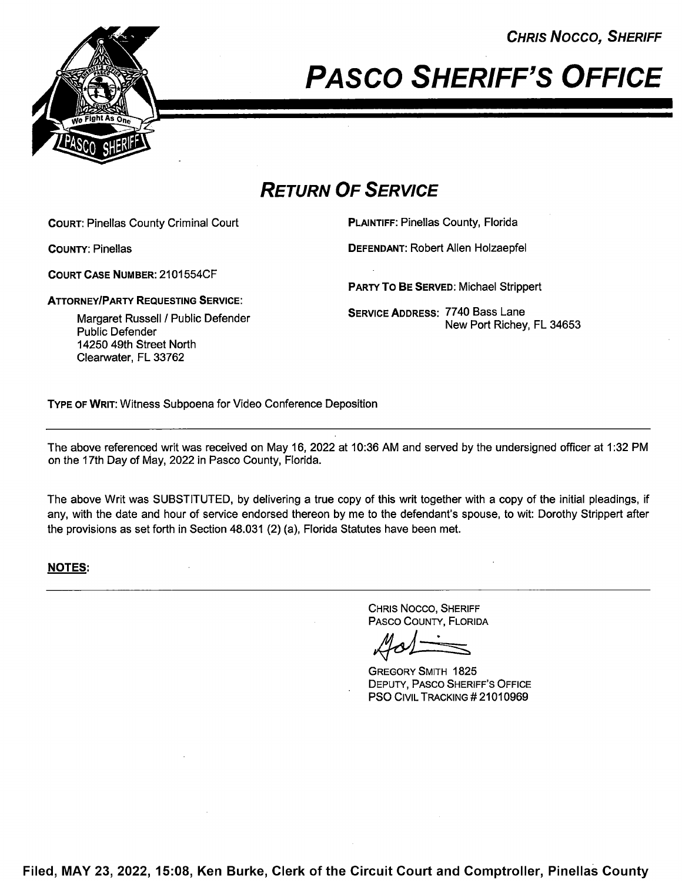CHRIS Nocco, SHERIFF



# PAsco SHERIFF'S OFFICE

### RETURN OF SERVICE

COURT: Pinellas County Criminal Court PLAINTIFF: Pinellas County, Florida

COURT CASE NUMBER: 2101554CF

ATTORNEYIPARTY REQUESTING SERVICE:

Public Defender 14250 49th Street North Clearwater, FL 33762

COUNTY: Pinellas DEFENDANT: Robert Allen Holzaepfel

PARTY To BE SERVED: Michael Strippert

**Margaret Russell / Public Defender Conservant Service ADDRESS: 7740 Bass Lane** New Port Richey, FL 34653

TYPE OF WRIT: Witness Subpoena for Video Conference Deposition

The above referenced writ was received on May 16, 2022 at 10:36 AM and sewed by the undersigned officer at <sup>1</sup> :32 PM on the 17th Day of May, 2022 in Pasco County, Florida.

The above Writ was SUBSTITUTED, by delivering a true copy of this writ together with a copy of the initial pleadings, if any, with the date and hour of service endorsed thereon by me to the defendant's spouse, to wit: Dorothy Strippert after the provisions as set forth in Section 48.031 (2) (a), Florida Statutes have been met.

#### NOTES:

CHRIS Nocco, SHERIFF PAsco COUNTY, FLORIDA

GREGORY SMITH 1825 DEPUTY, PAsco SHERIFF'S OFFICE PSO CIVIL TRACKING #21010969

Filed, MAY 23, 2022, 15:08, Ken Burke, Clerk of the Circuit Court and Comptroller, Pinellas County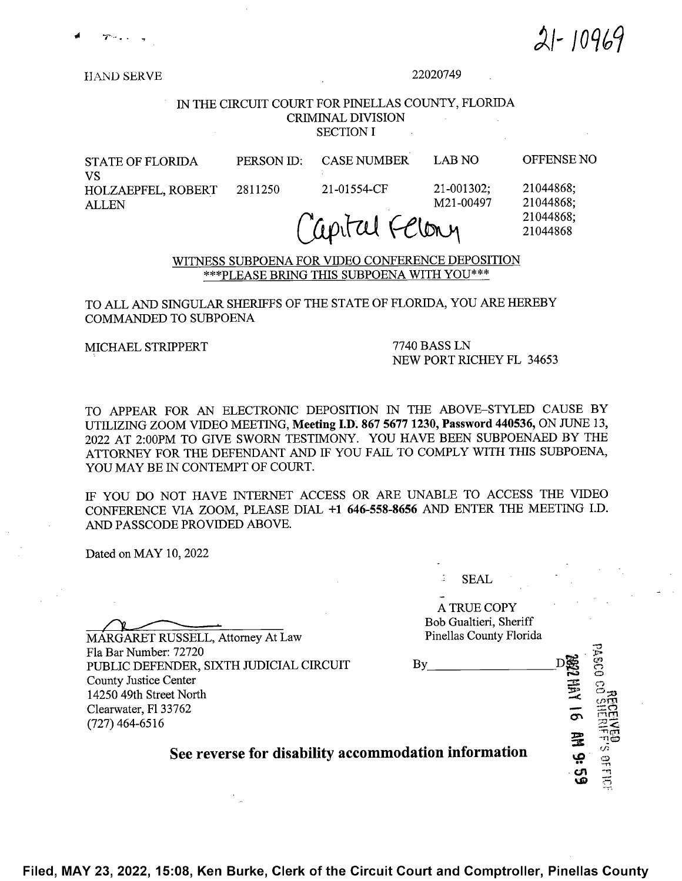$21 - 10969$ 

**HAND SERVE** 

#### 22020749

#### IN THE CIRCUIT COURT FOR PINELLAS COUNTY, FLORIDA CRIMINAL DIVISION **SECTION I**

| <b>STATE OF FLORIDA</b>         | PERSON ID: | <b>CASE NUMBER</b>          | LAB NO          | <b>OFFENSE NO</b>      |  |
|---------------------------------|------------|-----------------------------|-----------------|------------------------|--|
| VS<br><b>HOLZAEPFEL, ROBERT</b> | - 2811250  | 21-01554-CF                 | $21 - 001302$ ; | 21044868;              |  |
| <b>ALLEN</b>                    |            | $\mathcal{L}$ $\mathcal{L}$ | M21-00497       | 21044868;<br>21044868: |  |

## $U$ upitul  $V$  $U$ lony  $21044868$

WITNESS SUBPOENA FOR VIDEO CONFERENCE DEPOSITION \*\*\*PLEASE BRING THIS SUBPOENA WITH Y0U\*\*\*

#### TO ALL AND SINGULAR SHERIFFS OF THE STATE OF FLORIDA, YOU ARE HEREBY COMMANDED TO SUBPOENA

MICHAEL STRIPPERT 7740 BASS LN<br>NEW PORT RICHEY FL 34653

TO APPEAR FOR AN ELECTRONIC DEPOSITION 1N THE ABOVE—STYLED CAUSE BY UTILIZING ZOOM VIDEO MEETING, Meeting I.D. 867 5677 1230, Password 440536, ON JUNE 13, <sup>2022</sup> AT 2:00PM TO GIVE SWORN TESTIMONY. YOU HAVE BEEN SUBPOENAED BY THE ATTORNEY FOR THE DEFENDANT AND IF YOU FAIL TO COMPLY WITH THIS SUBPOENA, YOU MAY BE IN CONTEMPT OF COURT.

IF YOU DO NOT HAVE INTERNET ACCESS OR ARE UNABLE TO ACCESS THE VIDEO CONFERENCE VIA ZOOM, PLEASE DIAL +1 646-558-8656 AND ENTER THE MEETING I.D. AND PASSCODE PROVIDED ABOVE.

Dated on MAY 10, <sup>2022</sup>

SEAL

A TRUE COPY Bob Gualtieri, Sheriff  $\mathfrak{S}_3$  $\frac{1}{\sqrt{2}}$  and  $\frac{1}{\sqrt{2}}$ 16 ftt 9:  $\eta$ g See reverse for disability accommodation information ርክ

MARGARET RUSSELL, Attorney At Law Pinellas County Florida Fla Bar Number: 72720<br>PUBLIC DEFENDER. SIXTH JUDICIAL CIRCUIT By PUBLIC DEFENDER, SIXTH JUDICIAL CIRCUIT County Justice Center 14250 49th Street North Clearwater, Fl 33762 (727) 464—6516